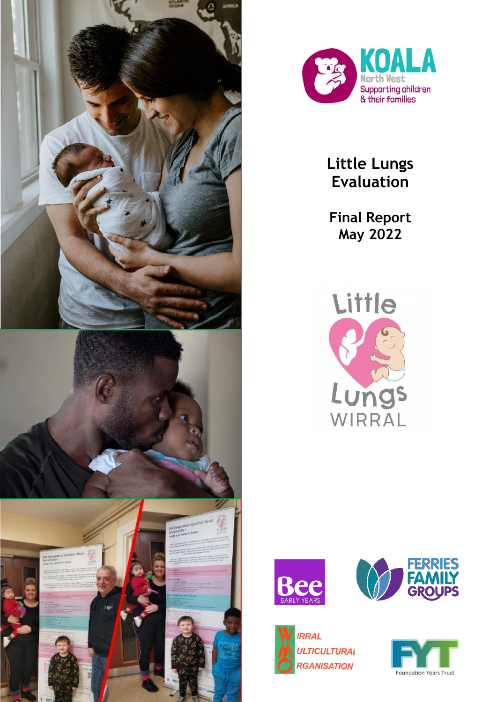





**Little Lungs Evaluation** 

**Final Report May 2022**









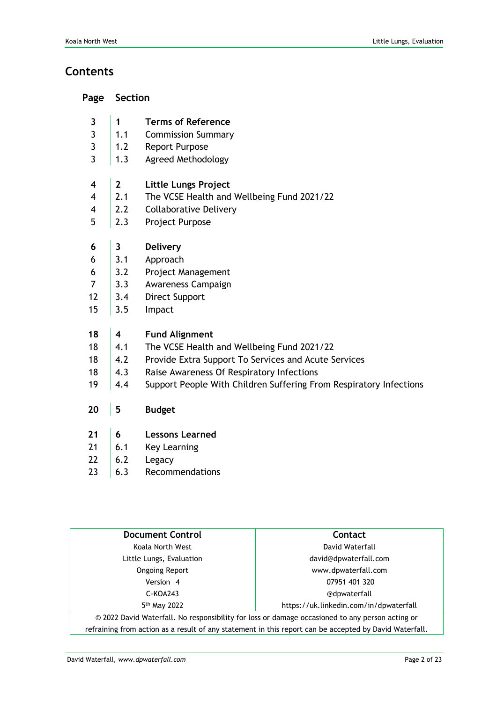# **Contents**

| Page | <b>Section</b> |
|------|----------------|
|------|----------------|

- **3 1 Terms of Reference**
- 3 1.1 Commission Summary
- 3 1.2 Report Purpose
- 3 | 1.3 Agreed Methodology
- **4 2 Little Lungs Project**
- 4 2.1 The VCSE Health and Wellbeing Fund 2021/22
- 4 2.2 Collaborative Delivery
- 5 2.3 Project Purpose
- **6 3 Delivery**
- $6 \mid 3.1$  Approach
- 6 3.2 Project Management
- 7 3.3 Awareness Campaign
- 12 3.4 Direct Support
- 15 3.5 Impact

#### **18 4 Fund Alignment**

- 18 4.1 The VCSE Health and Wellbeing Fund 2021/22
- 18 4.2 Provide Extra Support To Services and Acute Services
- 18 4.3 Raise Awareness Of Respiratory Infections
- 19 | 4.4 Support People With Children Suffering From Respiratory Infections
- **20 5 Budget**
- **21 6 Lessons Learned**
- 21  $\vert$  6.1 Key Learning
- 22  $\vert 6.2$  Legacy
- $23 \t | 6.3$  Recommendations

| <b>Document Control</b>                                                                                | Contact                                |  |  |
|--------------------------------------------------------------------------------------------------------|----------------------------------------|--|--|
| Koala North West                                                                                       | David Waterfall                        |  |  |
| Little Lungs, Evaluation                                                                               | david@dpwaterfall.com                  |  |  |
| <b>Ongoing Report</b>                                                                                  | www.dpwaterfall.com                    |  |  |
| Version 4                                                                                              | 07951 401 320                          |  |  |
| $C-KOA243$                                                                                             | @dpwaterfall                           |  |  |
| 5 <sup>th</sup> May 2022                                                                               | https://uk.linkedin.com/in/dpwaterfall |  |  |
| © 2022 David Waterfall. No responsibility for loss or damage occasioned to any person acting or        |                                        |  |  |
| refraining from action as a result of any statement in this report can be accepted by David Waterfall. |                                        |  |  |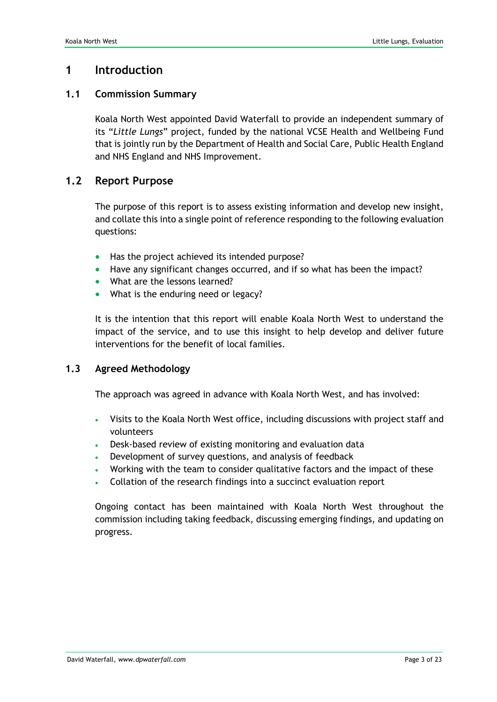### **1 Introduction**

#### **1.1 Commission Summary**

Koala North West appointed David Waterfall to provide an independent summary of its "*Little Lungs*" project, funded by the national VCSE Health and Wellbeing Fund that is jointly run by the Department of Health and Social Care, Public Health England and NHS England and NHS Improvement.

#### **1.2 Report Purpose**

The purpose of this report is to assess existing information and develop new insight, and collate this into a single point of reference responding to the following evaluation questions:

- Has the project achieved its intended purpose?
- Have any significant changes occurred, and if so what has been the impact?
- What are the lessons learned?
- What is the enduring need or legacy?

It is the intention that this report will enable Koala North West to understand the impact of the service, and to use this insight to help develop and deliver future interventions for the benefit of local families.

#### **1.3 Agreed Methodology**

The approach was agreed in advance with Koala North West, and has involved:

- Visits to the Koala North West office, including discussions with project staff and volunteers
- Desk-based review of existing monitoring and evaluation data
- Development of survey questions, and analysis of feedback
- Working with the team to consider qualitative factors and the impact of these
- Collation of the research findings into a succinct evaluation report

Ongoing contact has been maintained with Koala North West throughout the commission including taking feedback, discussing emerging findings, and updating on progress.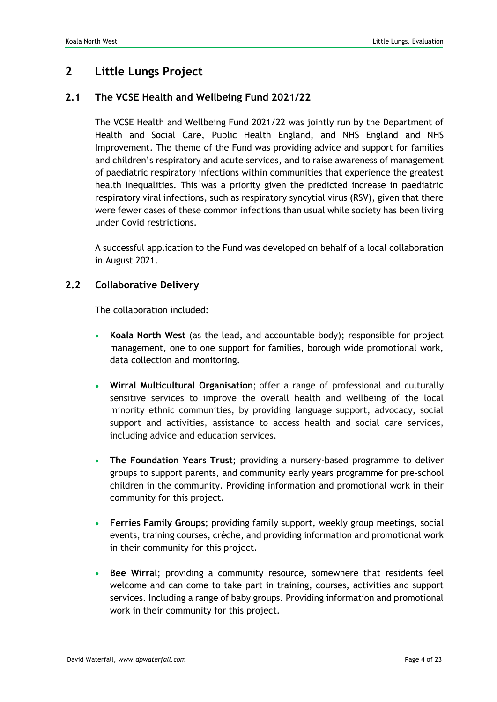# **2 Little Lungs Project**

#### **2.1 The VCSE Health and Wellbeing Fund 2021/22**

The VCSE Health and Wellbeing Fund 2021/22 was jointly run by the Department of Health and Social Care, Public Health England, and NHS England and NHS Improvement. The theme of the Fund was providing advice and support for families and children's respiratory and acute services, and to raise awareness of management of paediatric respiratory infections within communities that experience the greatest health inequalities. This was a priority given the predicted increase in paediatric respiratory viral infections, such as respiratory syncytial virus (RSV), given that there were fewer cases of these common infections than usual while society has been living under Covid restrictions.

A successful application to the Fund was developed on behalf of a local collaboration in August 2021.

#### **2.2 Collaborative Delivery**

The collaboration included:

- **Koala North West** (as the lead, and accountable body); responsible for project management, one to one support for families, borough wide promotional work, data collection and monitoring.
- **Wirral Multicultural Organisation**; offer a range of professional and culturally sensitive services to improve the overall health and wellbeing of the local minority ethnic communities, by providing language support, advocacy, social support and activities, assistance to access health and social care services, including advice and education services.
- **The Foundation Years Trust**; providing a nursery-based programme to deliver groups to support parents, and community early years programme for pre-school children in the community. Providing information and promotional work in their community for this project.
- **Ferries Family Groups**; providing family support, weekly group meetings, social events, training courses, crèche, and providing information and promotional work in their community for this project.
- **Bee Wirral**; providing a community resource, somewhere that residents feel welcome and can come to take part in training, courses, activities and support services. Including a range of baby groups. Providing information and promotional work in their community for this project.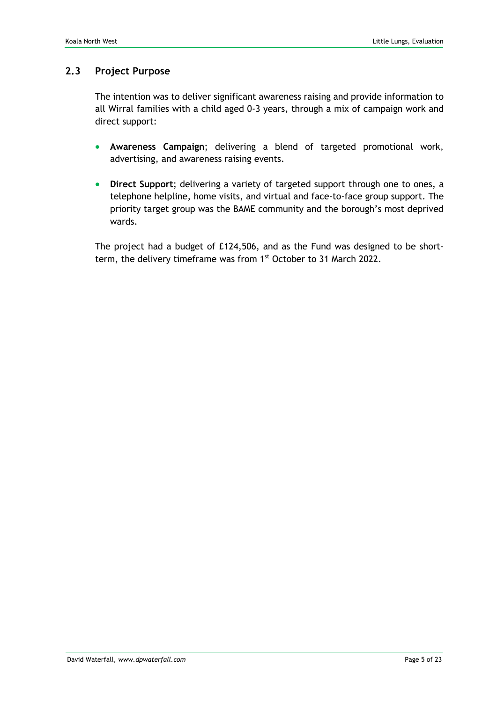#### **2.3 Project Purpose**

The intention was to deliver significant awareness raising and provide information to all Wirral families with a child aged 0-3 years, through a mix of campaign work and direct support:

- **Awareness Campaign**; delivering a blend of targeted promotional work, advertising, and awareness raising events.
- **Direct Support**; delivering a variety of targeted support through one to ones, a telephone helpline, home visits, and virtual and face-to-face group support. The priority target group was the BAME community and the borough's most deprived wards.

The project had a budget of £124,506, and as the Fund was designed to be shortterm, the delivery timeframe was from  $1<sup>st</sup>$  October to 31 March 2022.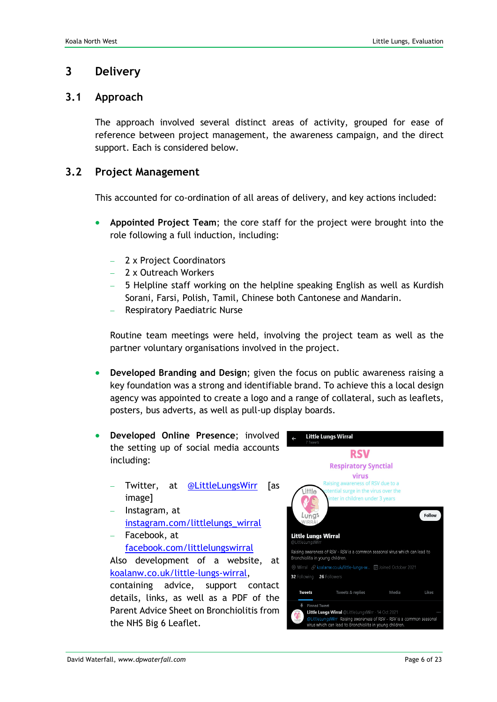### **3 Delivery**

#### **3.1 Approach**

The approach involved several distinct areas of activity, grouped for ease of reference between project management, the awareness campaign, and the direct support. Each is considered below.

#### **3.2 Project Management**

This accounted for co-ordination of all areas of delivery, and key actions included:

- **Appointed Project Team**; the core staff for the project were brought into the role following a full induction, including:
	- 2 x Project Coordinators
	- − 2 x Outreach Workers
	- − 5 Helpline staff working on the helpline speaking English as well as Kurdish Sorani, Farsi, Polish, Tamil, Chinese both Cantonese and Mandarin.
	- − Respiratory Paediatric Nurse

Routine team meetings were held, involving the project team as well as the partner voluntary organisations involved in the project.

- **Developed Branding and Design**; given the focus on public awareness raising a key foundation was a strong and identifiable brand. To achieve this a local design agency was appointed to create a logo and a range of collateral, such as leaflets, posters, bus adverts, as well as pull-up display boards.
- **Developed Online Presence**; involved the setting up of social media accounts including:
	- Twitter, at <u>[@LittleLungsWirr](https://twitter.com/search?q=%40littlelungswirr&src=typed_query)</u> [as image]
	- − Instagram, at [instagram.com/littlelungs\\_wirral](https://instagram.com/littlelungs_wirral?utm_medium=copy_link)
	- − Facebook, at [facebook.com/littlelungswirral](https://www.facebook.com/littlelungswirral) Also development of a website, at [koalanw.co.uk/little-lungs-wirral,](https://koalanw.co.uk/little-lungs-wirral) containing advice, support contact details, links, as well as a PDF of the Parent Advice Sheet on Bronchiolitis from the NHS Big 6 Leaflet.

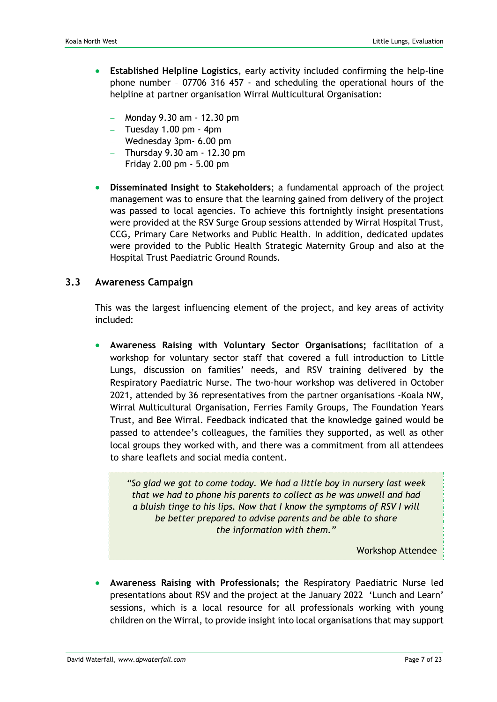- **Established Helpline Logistics**, early activity included confirming the help-line phone number – 07706 316 457 - and scheduling the operational hours of the helpline at partner organisation Wirral Multicultural Organisation:
	- − Monday 9.30 am 12.30 pm
	- − Tuesday 1.00 pm 4pm
	- − Wednesday 3pm- 6.00 pm
	- − Thursday 9.30 am 12.30 pm
	- − Friday 2.00 pm 5.00 pm
- **Disseminated Insight to Stakeholders**; a fundamental approach of the project management was to ensure that the learning gained from delivery of the project was passed to local agencies. To achieve this fortnightly insight presentations were provided at the RSV Surge Group sessions attended by Wirral Hospital Trust, CCG, Primary Care Networks and Public Health. In addition, dedicated updates were provided to the Public Health Strategic Maternity Group and also at the Hospital Trust Paediatric Ground Rounds.

#### **3.3 Awareness Campaign**

This was the largest influencing element of the project, and key areas of activity included:

• **Awareness Raising with Voluntary Sector Organisations;** facilitation of a workshop for voluntary sector staff that covered a full introduction to Little Lungs, discussion on families' needs, and RSV training delivered by the Respiratory Paediatric Nurse. The two-hour workshop was delivered in October 2021, attended by 36 representatives from the partner organisations -Koala NW, Wirral Multicultural Organisation, Ferries Family Groups, The Foundation Years Trust, and Bee Wirral. Feedback indicated that the knowledge gained would be passed to attendee's colleagues, the families they supported, as well as other local groups they worked with, and there was a commitment from all attendees to share leaflets and social media content.

*"So glad we got to come today. We had a little boy in nursery last week that we had to phone his parents to collect as he was unwell and had a bluish tinge to his lips. Now that I know the symptoms of RSV I will be better prepared to advise parents and be able to share the information with them."*

Workshop Attendee

• **Awareness Raising with Professionals;** the Respiratory Paediatric Nurse led presentations about RSV and the project at the January 2022 'Lunch and Learn' sessions, which is a local resource for all professionals working with young children on the Wirral, to provide insight into local organisations that may support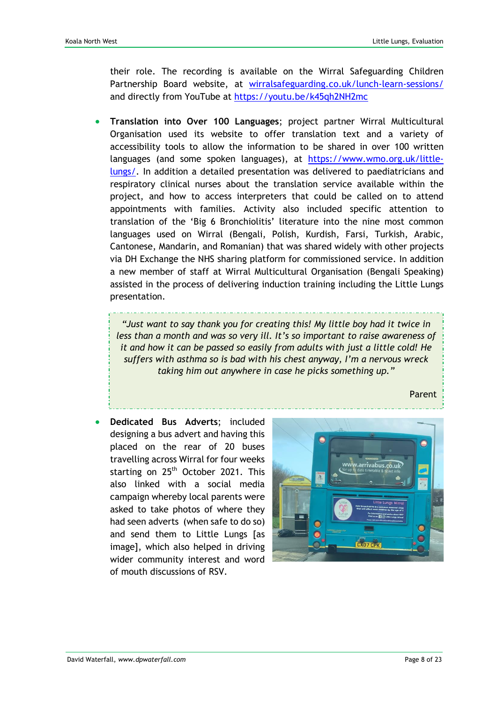their role. The recording is available on the Wirral Safeguarding Children Partnership Board website, at [wirralsafeguarding.co.uk/lunch-learn-sessions/](https://www.wirralsafeguarding.co.uk/lunch-learn-sessions/) and directly from YouTube at<https://youtu.be/k45qh2NH2mc>

• **Translation into Over 100 Languages**; project partner Wirral Multicultural Organisation used its website to offer translation text and a variety of accessibility tools to allow the information to be shared in over 100 written languages (and some spoken languages), at [https://www.wmo.org.uk/little](https://www.wmo.org.uk/little-lungs/)[lungs/.](https://www.wmo.org.uk/little-lungs/) In addition a detailed presentation was delivered to paediatricians and respiratory clinical nurses about the translation service available within the project, and how to access interpreters that could be called on to attend appointments with families. Activity also included specific attention to translation of the 'Big 6 Bronchiolitis' literature into the nine most common languages used on Wirral (Bengali, Polish, Kurdish, Farsi, Turkish, Arabic, Cantonese, Mandarin, and Romanian) that was shared widely with other projects via DH Exchange the NHS sharing platform for commissioned service. In addition a new member of staff at Wirral Multicultural Organisation (Bengali Speaking) assisted in the process of delivering induction training including the Little Lungs presentation.

*"Just want to say thank you for creating this! My little boy had it twice in less than a month and was so very ill. It's so important to raise awareness of it and how it can be passed so easily from adults with just a little cold! He suffers with asthma so is bad with his chest anyway, I'm a nervous wreck taking him out anywhere in case he picks something up."*

Parent

• **Dedicated Bus Adverts**; included designing a bus advert and having this placed on the rear of 20 buses travelling across Wirral for four weeks starting on 25<sup>th</sup> October 2021. This also linked with a social media campaign whereby local parents were asked to take photos of where they had seen adverts (when safe to do so) and send them to Little Lungs [as image], which also helped in driving wider community interest and word of mouth discussions of RSV.

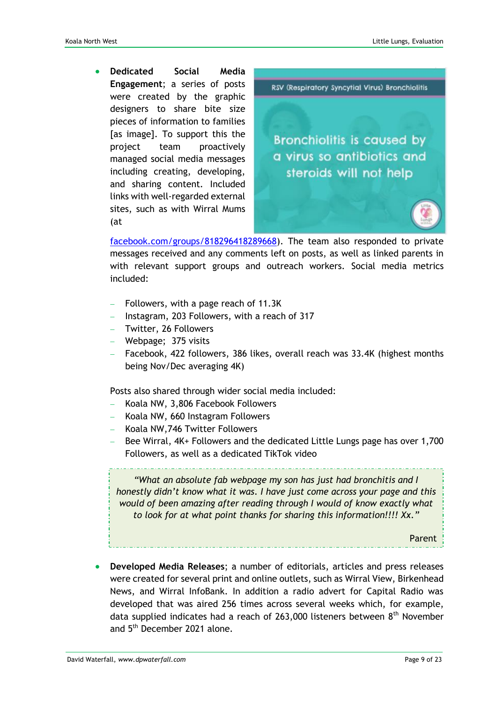• **Dedicated Social Media Engagement**; a series of posts were created by the graphic designers to share bite size pieces of information to families [as image]. To support this the project team proactively managed social media messages including creating, developing, and sharing content. Included links with well-regarded external sites, such as with Wirral Mums (at



[facebook.com/groups/818296418289668\)](https://www.facebook.com/groups/818296418289668/permalink/4796079413844662/). The team also responded to private messages received and any comments left on posts, as well as linked parents in with relevant support groups and outreach workers. Social media metrics included:

- − Followers, with a page reach of 11.3K
- − Instagram, 203 Followers, with a reach of 317
- − Twitter, 26 Followers
- − Webpage; 375 visits
- − Facebook, 422 followers, 386 likes, overall reach was 33.4K (highest months being Nov/Dec averaging 4K)

Posts also shared through wider social media included:

- − Koala NW, 3,806 Facebook Followers
- − Koala NW, 660 Instagram Followers
- − Koala NW,746 Twitter Followers
- Bee Wirral, 4K+ Followers and the dedicated Little Lungs page has over 1,700 Followers, as well as a dedicated TikTok video

*"What an absolute fab webpage my son has just had bronchitis and I honestly didn't know what it was. I have just come across your page and this would of been amazing after reading through I would of know exactly what to look for at what point thanks for sharing this information!!!! Xx."*

Parent

• **Developed Media Releases**; a number of editorials, articles and press releases were created for several print and online outlets, such as Wirral View, Birkenhead News, and Wirral InfoBank. In addition a radio advert for Capital Radio was developed that was aired 256 times across several weeks which, for example, data supplied indicates had a reach of 263,000 listeners between 8th November and 5<sup>th</sup> December 2021 alone.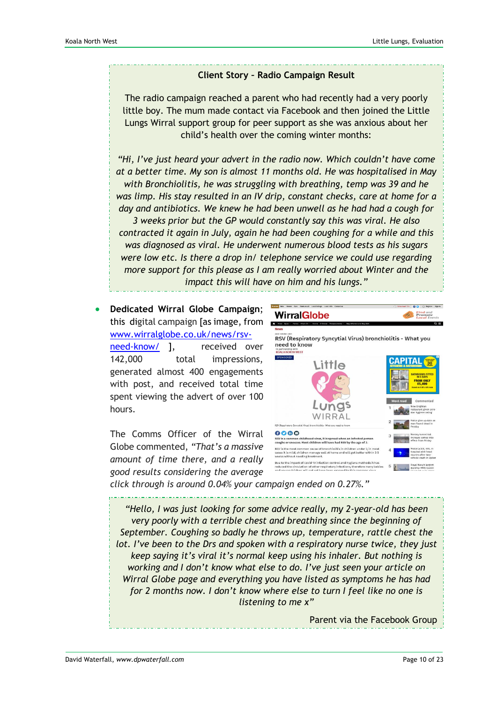#### **Client Story – Radio Campaign Result**

The radio campaign reached a parent who had recently had a very poorly little boy. The mum made contact via Facebook and then joined the Little Lungs Wirral support group for peer support as she was anxious about her child's health over the coming winter months:

*"Hi, I've just heard your advert in the radio now. Which couldn't have come at a better time. My son is almost 11 months old. He was hospitalised in May with Bronchiolitis, he was struggling with breathing, temp was 39 and he was limp. His stay resulted in an IV drip, constant checks, care at home for a day and antibiotics. We knew he had been unwell as he had had a cough for 3 weeks prior but the GP would constantly say this was viral. He also contracted it again in July, again he had been coughing for a while and this was diagnosed as viral. He underwent numerous blood tests as his sugars were low etc. Is there a drop in/ telephone service we could use regarding more support for this please as I am really worried about Winter and the impact this will have on him and his lungs."*

• **Dedicated Wirral Globe Campaign**; this digital campaign [as image, from [www.wirralglobe.co.uk/news/rsv](https://www.wirralglobe.co.uk/news/19651213.rsv-respiratory-syncytial-virus-bronchiolitis--need-know/)[need-know/](https://www.wirralglobe.co.uk/news/19651213.rsv-respiratory-syncytial-virus-bronchiolitis--need-know/) 1, received over 142,000 total impressions, generated almost 400 engagements with post, and received total time spent viewing the advert of over 100 hours.

The Comms Officer of the Wirral Globe commented, *"That's a massive amount of time there, and a really good results considering the average* 



*click through is around 0.04% your campaign ended on 0.27%."*

*"Hello, I was just looking for some advice really, my 2-year-old has been very poorly with a terrible chest and breathing since the beginning of September. Coughing so badly he throws up, temperature, rattle chest the lot. I've been to the Drs and spoken with a respiratory nurse twice, they just keep saying it's viral it's normal keep using his inhaler. But nothing is working and I don't know what else to do. I've just seen your article on Wirral Globe page and everything you have listed as symptoms he has had for 2 months now. I don't know where else to turn I feel like no one is listening to me x"*

Parent via the Facebook Group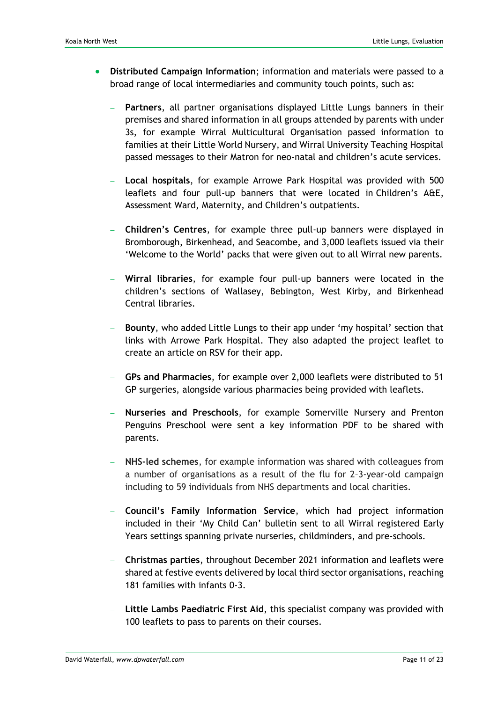- **Distributed Campaign Information**; information and materials were passed to a broad range of local intermediaries and community touch points, such as:
	- − **Partners**, all partner organisations displayed Little Lungs banners in their premises and shared information in all groups attended by parents with under 3s, for example Wirral Multicultural Organisation passed information to families at their Little World Nursery, and Wirral University Teaching Hospital passed messages to their Matron for neo-natal and children's acute services.
	- − **Local hospitals**, for example Arrowe Park Hospital was provided with 500 leaflets and four pull-up banners that were located in Children's A&E, Assessment Ward, Maternity, and Children's outpatients.
	- − **Children's Centres**, for example three pull-up banners were displayed in Bromborough, Birkenhead, and Seacombe, and 3,000 leaflets issued via their 'Welcome to the World' packs that were given out to all Wirral new parents.
	- − **Wirral libraries**, for example four pull-up banners were located in the children's sections of Wallasey, Bebington, West Kirby, and Birkenhead Central libraries.
	- − **Bounty**, who added Little Lungs to their app under 'my hospital' section that links with Arrowe Park Hospital. They also adapted the project leaflet to create an article on RSV for their app.
	- − **GPs and Pharmacies**, for example over 2,000 leaflets were distributed to 51 GP surgeries, alongside various pharmacies being provided with leaflets.
	- − **Nurseries and Preschools**, for example Somerville Nursery and Prenton Penguins Preschool were sent a key information PDF to be shared with parents.
	- − **NHS-led schemes**, for example information was shared with colleagues from a number of organisations as a result of the flu for 2–3-year-old campaign including to 59 individuals from NHS departments and local charities.
	- − **Council's Family Information Service**, which had project information included in their 'My Child Can' bulletin sent to all Wirral registered Early Years settings spanning private nurseries, childminders, and pre-schools.
	- − **Christmas parties**, throughout December 2021 information and leaflets were shared at festive events delivered by local third sector organisations, reaching 181 families with infants 0-3.
	- − **Little Lambs Paediatric First Aid**, this specialist company was provided with 100 leaflets to pass to parents on their courses.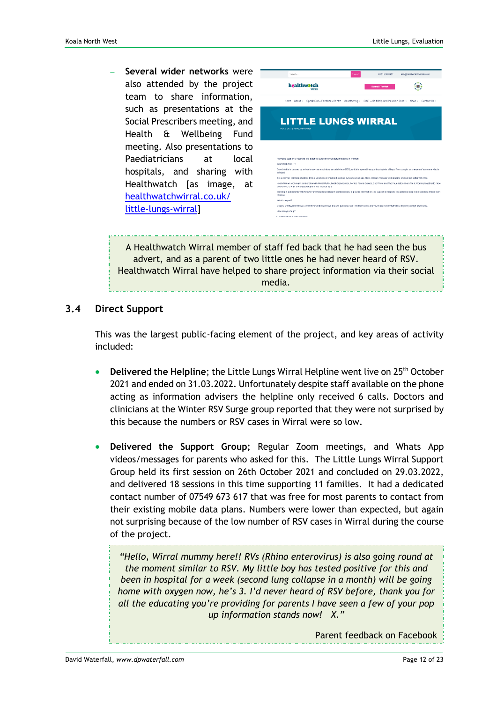− **Several wider networks** were also attended by the project team to share information, such as presentations at the Social Prescribers meeting, and Health & Wellbeing Fund meeting. Also presentations to Paediatricians at local hospitals, and sharing with Healthwatch [as image, at [healthwatchwirral.co.uk/](https://healthwatchwirral.co.uk/little-lungs-wirral/) [little-lungs-](https://healthwatchwirral.co.uk/little-lungs-wirral/)wirral]

| Search                                                                                                                                                                                                                             | 0151 230 8957<br>Search                                                                 | info@healthwatchwimal.co.uk |  |  |  |
|------------------------------------------------------------------------------------------------------------------------------------------------------------------------------------------------------------------------------------|-----------------------------------------------------------------------------------------|-----------------------------|--|--|--|
| healthwatch                                                                                                                                                                                                                        | <b>Spare 6 Toolkit</b>                                                                  |                             |  |  |  |
| Home About ~                                                                                                                                                                                                                       | Speak Out - Feedback Centre Volunteering v GAIT - Self Help and Inclusion Zone v News v | Contact Us ~                |  |  |  |
| <b>LITTLE LUNGS WIRRAL</b><br>Nov 2, 2021   News, Newsletter                                                                                                                                                                       |                                                                                         |                             |  |  |  |
|                                                                                                                                                                                                                                    |                                                                                         |                             |  |  |  |
| Providing support to respond to a potential surge in respiratory infections in children.                                                                                                                                           |                                                                                         |                             |  |  |  |
| WHAT'S IT ABOUT?                                                                                                                                                                                                                   |                                                                                         |                             |  |  |  |
| Bronchiolitis is caused by a virus known as respiratory syncytial virus (RSV), which is spread through tiny droplets of liquid from coughs or sneezes of someone who is<br>infected                                                |                                                                                         |                             |  |  |  |
| It is a normal, common childhood virus, which most children have had by two years of age. Most children manage well at home and will get better with time.                                                                         |                                                                                         |                             |  |  |  |
| Koala NW are working in partnership with Wirral Multicultural Organisation, Ferries Family Orqups, Bee Wirral and The Foundation Years Trust, Coming together to raise<br>awareness of RSV and supporting families affected by it. |                                                                                         |                             |  |  |  |
| Working in partnership with Arrowe Park Hospital and health professionals, to provide information and support to respond to a potential surge in respiratory infections in<br>children.                                            |                                                                                         |                             |  |  |  |
| What to expect?                                                                                                                                                                                                                    |                                                                                         |                             |  |  |  |
| Cough, snuffle, runny nose, a mild fever and chestiness that will get worse over the first 5 days and your baby may be left with a lingering cough afterwards.                                                                     |                                                                                         |                             |  |  |  |
| How can you help?                                                                                                                                                                                                                  |                                                                                         |                             |  |  |  |
|                                                                                                                                                                                                                                    |                                                                                         |                             |  |  |  |

A Healthwatch Wirral member of staff fed back that he had seen the bus advert, and as a parent of two little ones he had never heard of RSV. Healthwatch Wirral have helped to share project information via their social media.

#### **3.4 Direct Support**

This was the largest public-facing element of the project, and key areas of activity included:

- **Delivered the Helpline**; the Little Lungs Wirral Helpline went live on 25<sup>th</sup> October 2021 and ended on 31.03.2022. Unfortunately despite staff available on the phone acting as information advisers the helpline only received 6 calls. Doctors and clinicians at the Winter RSV Surge group reported that they were not surprised by this because the numbers or RSV cases in Wirral were so low.
- **Delivered the Support Group;** Regular Zoom meetings, and Whats App videos/messages for parents who asked for this. The Little Lungs Wirral Support Group held its first session on 26th October 2021 and concluded on 29.03.2022, and delivered 18 sessions in this time supporting 11 families. It had a dedicated contact number of 07549 673 617 that was free for most parents to contact from their existing mobile data plans. Numbers were lower than expected, but again not surprising because of the low number of RSV cases in Wirral during the course of the project.

*"Hello, Wirral mummy here!! RVs (Rhino enterovirus) is also going round at the moment similar to RSV. My little boy has tested positive for this and been in hospital for a week (second lung collapse in a month) will be going home with oxygen now, he's 3. I'd never heard of RSV before, thank you for all the educating you're providing for parents I have seen a few of your pop up information stands now! X."*

Parent feedback on Facebook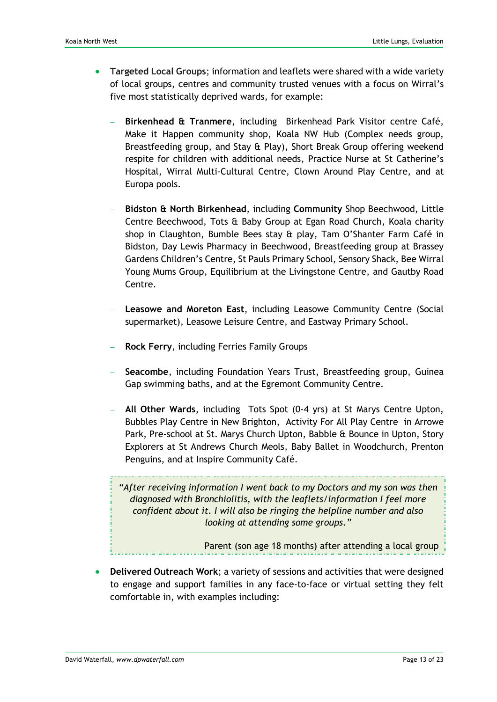- **Targeted Local Groups**; information and leaflets were shared with a wide variety of local groups, centres and community trusted venues with a focus on Wirral's five most statistically deprived wards, for example:
	- Birkenhead & Tranmere, including Birkenhead Park Visitor centre Café, Make it Happen community shop, Koala NW Hub (Complex needs group, Breastfeeding group, and Stay & Play), Short Break Group offering weekend respite for children with additional needs, Practice Nurse at St Catherine's Hospital, Wirral Multi-Cultural Centre, Clown Around Play Centre, and at Europa pools.
	- − **Bidston & North Birkenhead**, including **Community** Shop Beechwood, Little Centre Beechwood, Tots & Baby Group at Egan Road Church, Koala charity shop in Claughton, Bumble Bees stay & play, Tam O'Shanter Farm Café in Bidston, Day Lewis Pharmacy in Beechwood, Breastfeeding group at Brassey Gardens Children's Centre, St Pauls Primary School, Sensory Shack, Bee Wirral Young Mums Group, Equilibrium at the Livingstone Centre, and Gautby Road Centre.
	- − **Leasowe and Moreton East**, including Leasowe Community Centre (Social supermarket), Leasowe Leisure Centre, and Eastway Primary School.
	- − **Rock Ferry**, including Ferries Family Groups
	- − **Seacombe**, including Foundation Years Trust, Breastfeeding group, Guinea Gap swimming baths, and at the Egremont Community Centre.
	- − **All Other Wards**, including Tots Spot (0-4 yrs) at St Marys Centre Upton, Bubbles Play Centre in New Brighton, Activity For All Play Centre in Arrowe Park, Pre-school at St. Marys Church Upton, Babble & Bounce in Upton, Story Explorers at St Andrews Church Meols, Baby Ballet in Woodchurch, Prenton Penguins, and at Inspire Community Café.

*"After receiving information I went back to my Doctors and my son was then diagnosed with Bronchiolitis, with the leaflets/information I feel more confident about it. I will also be ringing the helpline number and also looking at attending some groups."* 

Parent (son age 18 months) after attending a local group

• **Delivered Outreach Work**; a variety of sessions and activities that were designed to engage and support families in any face-to-face or virtual setting they felt comfortable in, with examples including: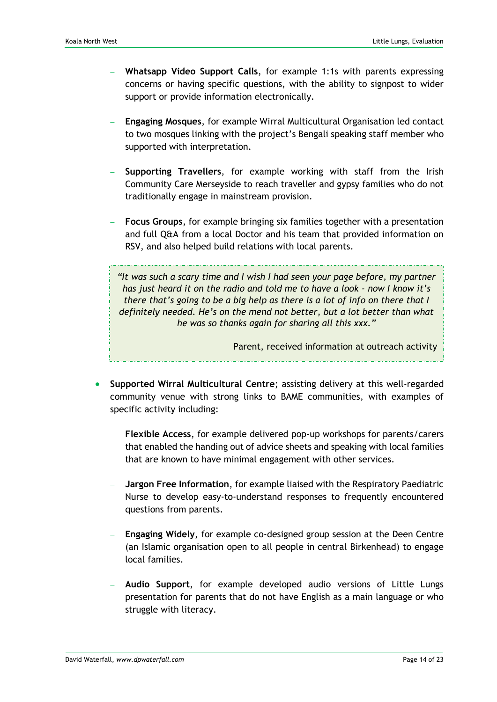- − **Whatsapp Video Support Calls**, for example 1:1s with parents expressing concerns or having specific questions, with the ability to signpost to wider support or provide information electronically.
- − **Engaging Mosques**, for example Wirral Multicultural Organisation led contact to two mosques linking with the project's Bengali speaking staff member who supported with interpretation.
- − **Supporting Travellers**, for example working with staff from the Irish Community Care Merseyside to reach traveller and gypsy families who do not traditionally engage in mainstream provision.
- − **Focus Groups**, for example bringing six families together with a presentation and full Q&A from a local Doctor and his team that provided information on RSV, and also helped build relations with local parents.

*"It was such a scary time and I wish I had seen your page before, my partner has just heard it on the radio and told me to have a look - now I know it's there that's going to be a big help as there is a lot of info on there that I definitely needed. He's on the mend not better, but a lot better than what he was so thanks again for sharing all this xxx."*

Parent, received information at outreach activity

- **Supported Wirral Multicultural Centre**; assisting delivery at this well-regarded community venue with strong links to BAME communities, with examples of specific activity including:
	- − **Flexible Access**, for example delivered pop-up workshops for parents/carers that enabled the handing out of advice sheets and speaking with local families that are known to have minimal engagement with other services.
	- − **Jargon Free Information**, for example liaised with the Respiratory Paediatric Nurse to develop easy-to-understand responses to frequently encountered questions from parents.
	- − **Engaging Widely**, for example co-designed group session at the Deen Centre (an Islamic organisation open to all people in central Birkenhead) to engage local families.
	- − **Audio Support**, for example developed audio versions of Little Lungs presentation for parents that do not have English as a main language or who struggle with literacy.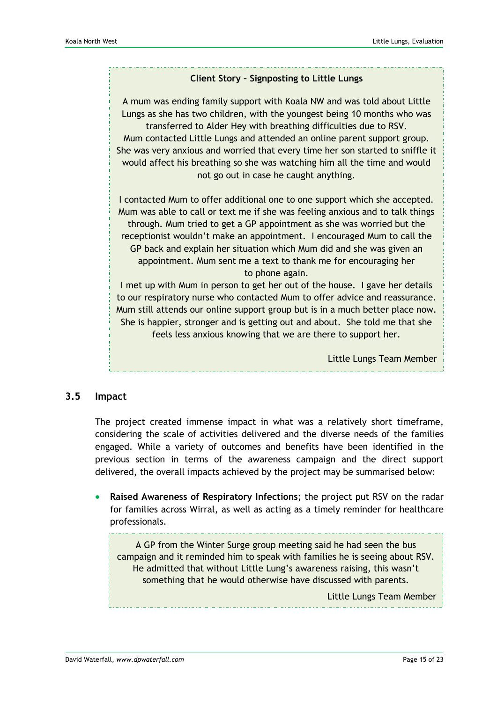# **Client Story – Signposting to Little Lungs** A mum was ending family support with Koala NW and was told about Little Lungs as she has two children, with the youngest being 10 months who was transferred to Alder Hey with breathing difficulties due to RSV. Mum contacted Little Lungs and attended an online parent support group.

She was very anxious and worried that every time her son started to sniffle it would affect his breathing so she was watching him all the time and would not go out in case he caught anything.

I contacted Mum to offer additional one to one support which she accepted. Mum was able to call or text me if she was feeling anxious and to talk things through. Mum tried to get a GP appointment as she was worried but the receptionist wouldn't make an appointment. I encouraged Mum to call the GP back and explain her situation which Mum did and she was given an appointment. Mum sent me a text to thank me for encouraging her to phone again.

I met up with Mum in person to get her out of the house. I gave her details to our respiratory nurse who contacted Mum to offer advice and reassurance. Mum still attends our online support group but is in a much better place now. She is happier, stronger and is getting out and about. She told me that she feels less anxious knowing that we are there to support her.

Little Lungs Team Member

#### **3.5 Impact**

The project created immense impact in what was a relatively short timeframe, considering the scale of activities delivered and the diverse needs of the families engaged. While a variety of outcomes and benefits have been identified in the previous section in terms of the awareness campaign and the direct support delivered, the overall impacts achieved by the project may be summarised below:

• **Raised Awareness of Respiratory Infections**; the project put RSV on the radar for families across Wirral, as well as acting as a timely reminder for healthcare professionals.

A GP from the Winter Surge group meeting said he had seen the bus campaign and it reminded him to speak with families he is seeing about RSV. He admitted that without Little Lung's awareness raising, this wasn't something that he would otherwise have discussed with parents.

Little Lungs Team Member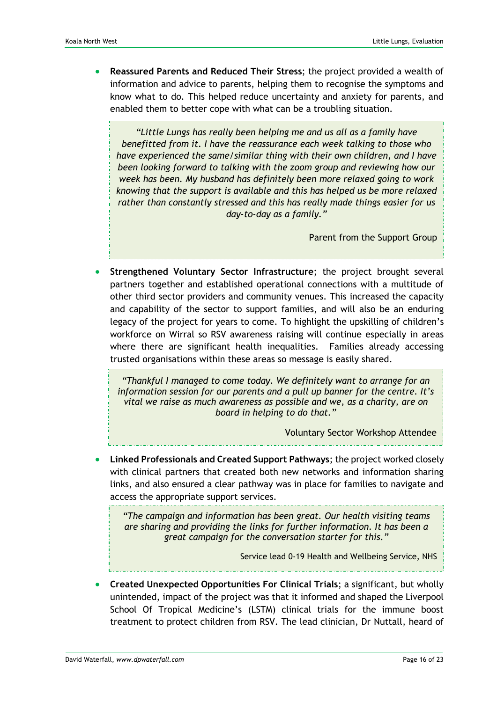• **Reassured Parents and Reduced Their Stress**; the project provided a wealth of information and advice to parents, helping them to recognise the symptoms and know what to do. This helped reduce uncertainty and anxiety for parents, and enabled them to better cope with what can be a troubling situation.

*"Little Lungs has really been helping me and us all as a family have benefitted from it. I have the reassurance each week talking to those who have experienced the same/similar thing with their own children, and I have been looking forward to talking with the zoom group and reviewing how our week has been. My husband has definitely been more relaxed going to work knowing that the support is available and this has helped us be more relaxed rather than constantly stressed and this has really made things easier for us day-to-day as a family."*

Parent from the Support Group

• **Strengthened Voluntary Sector Infrastructure**; the project brought several partners together and established operational connections with a multitude of other third sector providers and community venues. This increased the capacity and capability of the sector to support families, and will also be an enduring legacy of the project for years to come. To highlight the upskilling of children's workforce on Wirral so RSV awareness raising will continue especially in areas where there are significant health inequalities. Families already accessing trusted organisations within these areas so message is easily shared.

*"Thankful I managed to come today. We definitely want to arrange for an information session for our parents and a pull up banner for the centre. It's vital we raise as much awareness as possible and we, as a charity, are on board in helping to do that."*

Voluntary Sector Workshop Attendee

• **Linked Professionals and Created Support Pathways**; the project worked closely with clinical partners that created both new networks and information sharing links, and also ensured a clear pathway was in place for families to navigate and access the appropriate support services.

*"The campaign and information has been great. Our health visiting teams are sharing and providing the links for further information. It has been a great campaign for the conversation starter for this."*

Service lead 0-19 Health and Wellbeing Service, NHS

• **Created Unexpected Opportunities For Clinical Trials**; a significant, but wholly unintended, impact of the project was that it informed and shaped the Liverpool School Of Tropical Medicine's (LSTM) clinical trials for the immune boost treatment to protect children from RSV. The lead clinician, Dr Nuttall, heard of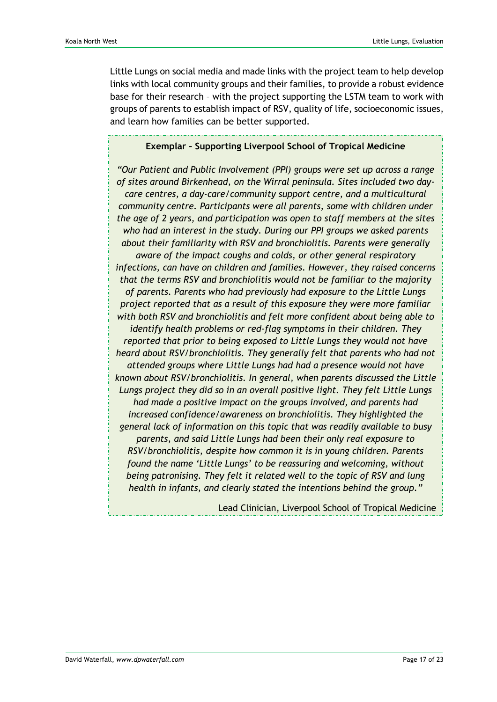Little Lungs on social media and made links with the project team to help develop links with local community groups and their families, to provide a robust evidence base for their research – with the project supporting the LSTM team to work with groups of parents to establish impact of RSV, quality of life, socioeconomic issues, and learn how families can be better supported.

#### **Exemplar – Supporting Liverpool School of Tropical Medicine**

*"Our Patient and Public Involvement (PPI) groups were set up across a range of sites around Birkenhead, on the Wirral peninsula. Sites included two daycare centres, a day-care/community support centre, and a multicultural community centre. Participants were all parents, some with children under the age of 2 years, and participation was open to staff members at the sites who had an interest in the study. During our PPI groups we asked parents about their familiarity with RSV and bronchiolitis. Parents were generally aware of the impact coughs and colds, or other general respiratory infections, can have on children and families. However, they raised concerns that the terms RSV and bronchiolitis would not be familiar to the majority of parents. Parents who had previously had exposure to the Little Lungs project reported that as a result of this exposure they were more familiar with both RSV and bronchiolitis and felt more confident about being able to identify health problems or red-flag symptoms in their children. They reported that prior to being exposed to Little Lungs they would not have heard about RSV/bronchiolitis. They generally felt that parents who had not attended groups where Little Lungs had had a presence would not have known about RSV/bronchiolitis. In general, when parents discussed the Little Lungs project they did so in an overall positive light. They felt Little Lungs had made a positive impact on the groups involved, and parents had increased confidence/awareness on bronchiolitis. They highlighted the general lack of information on this topic that was readily available to busy parents, and said Little Lungs had been their only real exposure to RSV/bronchiolitis, despite how common it is in young children. Parents found the name 'Little Lungs' to be reassuring and welcoming, without being patronising. They felt it related well to the topic of RSV and lung health in infants, and clearly stated the intentions behind the group."*

Lead Clinician, Liverpool School of Tropical Medicine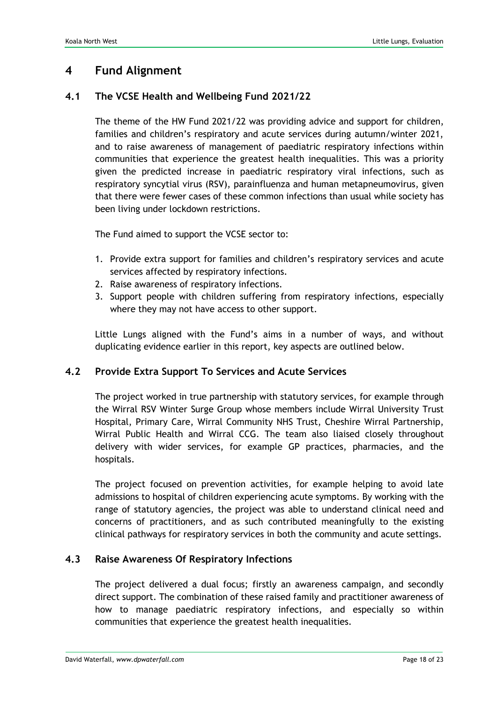### **4 Fund Alignment**

#### **4.1 The VCSE Health and Wellbeing Fund 2021/22**

The theme of the HW Fund 2021/22 was providing advice and support for children, families and children's respiratory and acute services during autumn/winter 2021, and to raise awareness of management of paediatric respiratory infections within communities that experience the greatest health inequalities. This was a priority given the predicted increase in paediatric respiratory viral infections, such as respiratory syncytial virus (RSV), parainfluenza and human metapneumovirus, given that there were fewer cases of these common infections than usual while society has been living under lockdown restrictions.

The Fund aimed to support the VCSE sector to:

- 1. Provide extra support for families and children's respiratory services and acute services affected by respiratory infections.
- 2. Raise awareness of respiratory infections.
- 3. Support people with children suffering from respiratory infections, especially where they may not have access to other support.

Little Lungs aligned with the Fund's aims in a number of ways, and without duplicating evidence earlier in this report, key aspects are outlined below.

#### **4.2 Provide Extra Support To Services and Acute Services**

The project worked in true partnership with statutory services, for example through the Wirral RSV Winter Surge Group whose members include Wirral University Trust Hospital, Primary Care, Wirral Community NHS Trust, Cheshire Wirral Partnership, Wirral Public Health and Wirral CCG. The team also liaised closely throughout delivery with wider services, for example GP practices, pharmacies, and the hospitals.

The project focused on prevention activities, for example helping to avoid late admissions to hospital of children experiencing acute symptoms. By working with the range of statutory agencies, the project was able to understand clinical need and concerns of practitioners, and as such contributed meaningfully to the existing clinical pathways for respiratory services in both the community and acute settings.

#### **4.3 Raise Awareness Of Respiratory Infections**

The project delivered a dual focus; firstly an awareness campaign, and secondly direct support. The combination of these raised family and practitioner awareness of how to manage paediatric respiratory infections, and especially so within communities that experience the greatest health inequalities.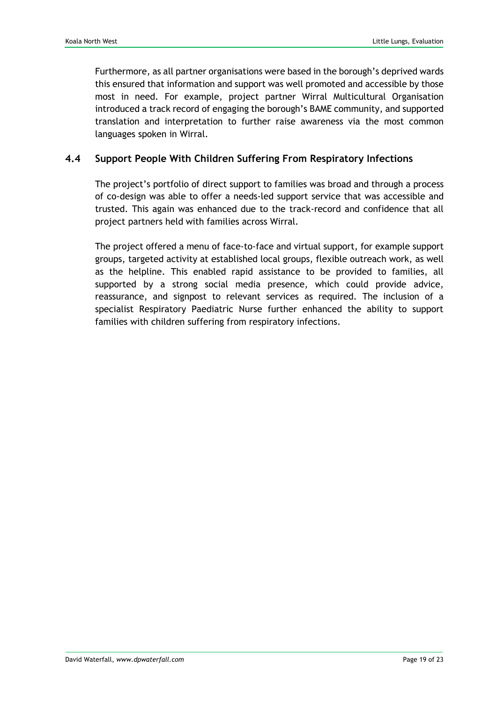Furthermore, as all partner organisations were based in the borough's deprived wards this ensured that information and support was well promoted and accessible by those most in need. For example, project partner Wirral Multicultural Organisation introduced a track record of engaging the borough's BAME community, and supported translation and interpretation to further raise awareness via the most common languages spoken in Wirral.

#### **4.4 Support People With Children Suffering From Respiratory Infections**

The project's portfolio of direct support to families was broad and through a process of co-design was able to offer a needs-led support service that was accessible and trusted. This again was enhanced due to the track-record and confidence that all project partners held with families across Wirral.

The project offered a menu of face-to-face and virtual support, for example support groups, targeted activity at established local groups, flexible outreach work, as well as the helpline. This enabled rapid assistance to be provided to families, all supported by a strong social media presence, which could provide advice, reassurance, and signpost to relevant services as required. The inclusion of a specialist Respiratory Paediatric Nurse further enhanced the ability to support families with children suffering from respiratory infections.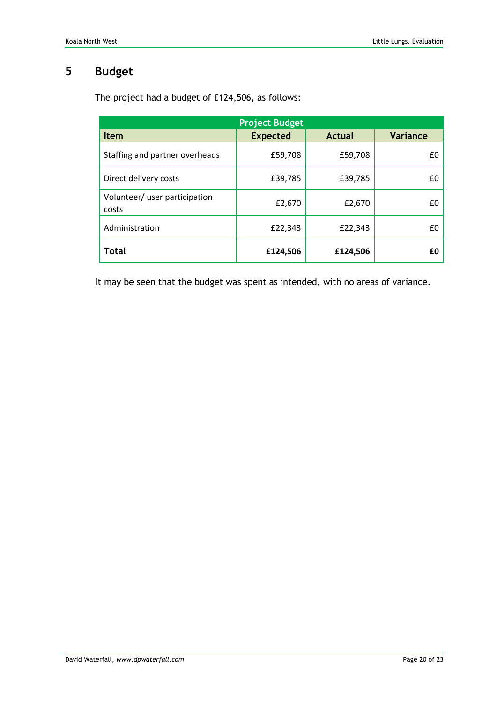# **5 Budget**

| <b>Project Budget</b>                  |                 |          |                 |  |  |
|----------------------------------------|-----------------|----------|-----------------|--|--|
| <b>Item</b>                            | <b>Expected</b> | Actual   | <b>Variance</b> |  |  |
| Staffing and partner overheads         | £59,708         | £59,708  | £0              |  |  |
| Direct delivery costs                  | £39,785         | £39,785  | £0              |  |  |
| Volunteer/ user participation<br>costs | £2,670          | £2,670   | £0              |  |  |
| Administration                         | £22,343         | £22,343  | £0              |  |  |
| <b>Total</b>                           | £124,506        | £124,506 | £0              |  |  |

The project had a budget of £124,506, as follows:

It may be seen that the budget was spent as intended, with no areas of variance.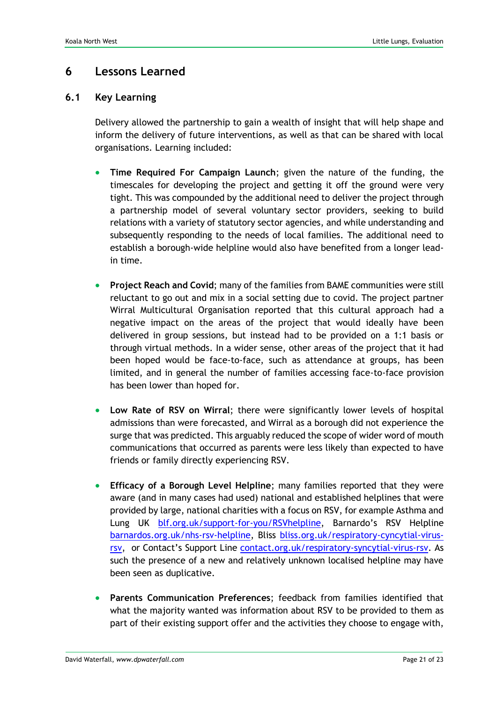## **6 Lessons Learned**

#### **6.1 Key Learning**

Delivery allowed the partnership to gain a wealth of insight that will help shape and inform the delivery of future interventions, as well as that can be shared with local organisations. Learning included:

- **Time Required For Campaign Launch**; given the nature of the funding, the timescales for developing the project and getting it off the ground were very tight. This was compounded by the additional need to deliver the project through a partnership model of several voluntary sector providers, seeking to build relations with a variety of statutory sector agencies, and while understanding and subsequently responding to the needs of local families. The additional need to establish a borough-wide helpline would also have benefited from a longer leadin time.
- **Project Reach and Covid**; many of the families from BAME communities were still reluctant to go out and mix in a social setting due to covid. The project partner Wirral Multicultural Organisation reported that this cultural approach had a negative impact on the areas of the project that would ideally have been delivered in group sessions, but instead had to be provided on a 1:1 basis or through virtual methods. In a wider sense, other areas of the project that it had been hoped would be face-to-face, such as attendance at groups, has been limited, and in general the number of families accessing face-to-face provision has been lower than hoped for.
- **Low Rate of RSV on Wirral**; there were significantly lower levels of hospital admissions than were forecasted, and Wirral as a borough did not experience the surge that was predicted. This arguably reduced the scope of wider word of mouth communications that occurred as parents were less likely than expected to have friends or family directly experiencing RSV.
- **Efficacy of a Borough Level Helpline**; many families reported that they were aware (and in many cases had used) national and established helplines that were provided by large, national charities with a focus on RSV, for example Asthma and Lung UK [blf.org.uk/support-for-you/RSVhelpline](https://www.blf.org.uk/support-for-you/helpline), Barnardo's RSV Helpline [barnardos.org.uk/nhs-rsv-helpline,](https://www.barnardos.org.uk/what-we-do/services/nhs-rsv-helpline) Bliss [bliss.org.uk/respiratory-cyncytial-virus](https://www.bliss.org.uk/parents/about-your-baby/medical-conditions/respiratory-conditions/respiratory-cyncytial-virus-rsv)[rsv,](https://www.bliss.org.uk/parents/about-your-baby/medical-conditions/respiratory-conditions/respiratory-cyncytial-virus-rsv) or Contact's Support Line contact.org.uk/respiratory-syncytial-virus-rsv. As such the presence of a new and relatively unknown localised helpline may have been seen as duplicative.
- **Parents Communication Preferences**; feedback from families identified that what the majority wanted was information about RSV to be provided to them as part of their existing support offer and the activities they choose to engage with,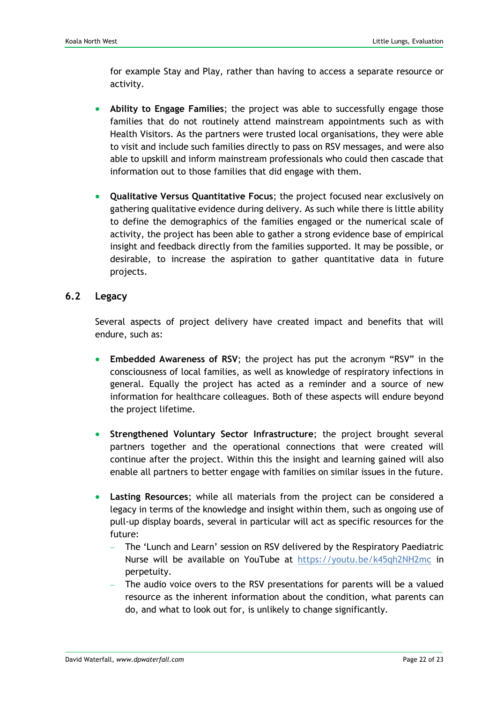for example Stay and Play, rather than having to access a separate resource or activity.

- **Ability to Engage Families**; the project was able to successfully engage those families that do not routinely attend mainstream appointments such as with Health Visitors. As the partners were trusted local organisations, they were able to visit and include such families directly to pass on RSV messages, and were also able to upskill and inform mainstream professionals who could then cascade that information out to those families that did engage with them.
- **Qualitative Versus Quantitative Focus**; the project focused near exclusively on gathering qualitative evidence during delivery. As such while there is little ability to define the demographics of the families engaged or the numerical scale of activity, the project has been able to gather a strong evidence base of empirical insight and feedback directly from the families supported. It may be possible, or desirable, to increase the aspiration to gather quantitative data in future projects.

#### **6.2 Legacy**

Several aspects of project delivery have created impact and benefits that will endure, such as:

- **Embedded Awareness of RSV**; the project has put the acronym "RSV" in the consciousness of local families, as well as knowledge of respiratory infections in general. Equally the project has acted as a reminder and a source of new information for healthcare colleagues. Both of these aspects will endure beyond the project lifetime.
- **Strengthened Voluntary Sector Infrastructure**; the project brought several partners together and the operational connections that were created will continue after the project. Within this the insight and learning gained will also enable all partners to better engage with families on similar issues in the future.
- **Lasting Resources**; while all materials from the project can be considered a legacy in terms of the knowledge and insight within them, such as ongoing use of pull-up display boards, several in particular will act as specific resources for the future:
	- − The 'Lunch and Learn' session on RSV delivered by the Respiratory Paediatric Nurse will be available on YouTube at<https://youtu.be/k45qh2NH2mc> in perpetuity.
	- The audio voice overs to the RSV presentations for parents will be a valued resource as the inherent information about the condition, what parents can do, and what to look out for, is unlikely to change significantly.